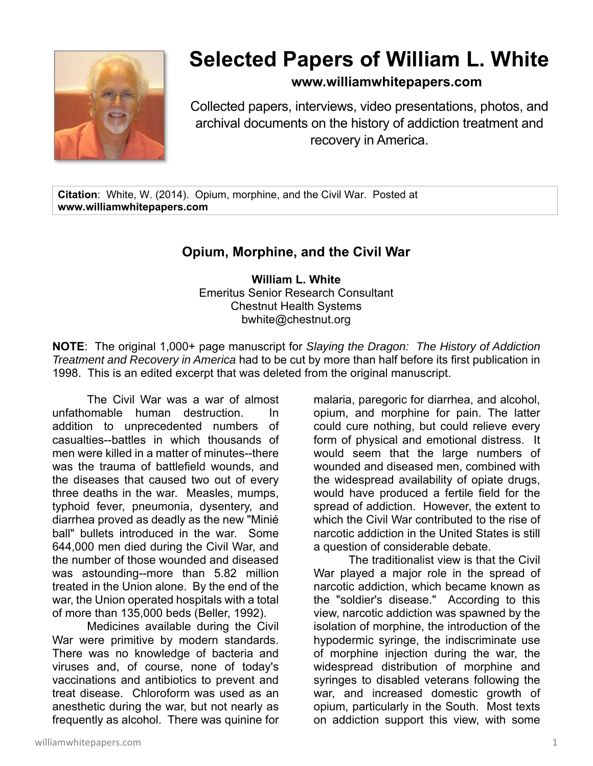

## **Selected Papers of William L. White**

## **www.williamwhitepapers.com**

Collected papers, interviews, video presentations, photos, and archival documents on the history of addiction treatment and recovery in America.

**Citation**: White, W. (2014). Opium, morphine, and the Civil War. Posted at **www.williamwhitepapers.com** 

## **Opium, Morphine, and the Civil War**

**William L. White**  Emeritus Senior Research Consultant Chestnut Health Systems bwhite@chestnut.org

**NOTE**: The original 1,000+ page manuscript for *Slaying the Dragon: The History of Addiction Treatment and Recovery in America* had to be cut by more than half before its first publication in 1998. This is an edited excerpt that was deleted from the original manuscript.

The Civil War was a war of almost unfathomable human destruction. In addition to unprecedented numbers of casualties--battles in which thousands of men were killed in a matter of minutes--there was the trauma of battlefield wounds, and the diseases that caused two out of every three deaths in the war. Measles, mumps, typhoid fever, pneumonia, dysentery, and diarrhea proved as deadly as the new "Minié ball" bullets introduced in the war. Some 644,000 men died during the Civil War, and the number of those wounded and diseased was astounding--more than 5.82 million treated in the Union alone. By the end of the war, the Union operated hospitals with a total of more than 135,000 beds (Beller, 1992).

Medicines available during the Civil War were primitive by modern standards. There was no knowledge of bacteria and viruses and, of course, none of today's vaccinations and antibiotics to prevent and treat disease. Chloroform was used as an anesthetic during the war, but not nearly as frequently as alcohol. There was quinine for

malaria, paregoric for diarrhea, and alcohol, opium, and morphine for pain. The latter could cure nothing, but could relieve every form of physical and emotional distress. It would seem that the large numbers of wounded and diseased men, combined with the widespread availability of opiate drugs, would have produced a fertile field for the spread of addiction. However, the extent to which the Civil War contributed to the rise of narcotic addiction in the United States is still a question of considerable debate.

The traditionalist view is that the Civil War played a major role in the spread of narcotic addiction, which became known as the "soldier's disease." According to this view, narcotic addiction was spawned by the isolation of morphine, the introduction of the hypodermic syringe, the indiscriminate use of morphine injection during the war, the widespread distribution of morphine and syringes to disabled veterans following the war, and increased domestic growth of opium, particularly in the South. Most texts on addiction support this view, with some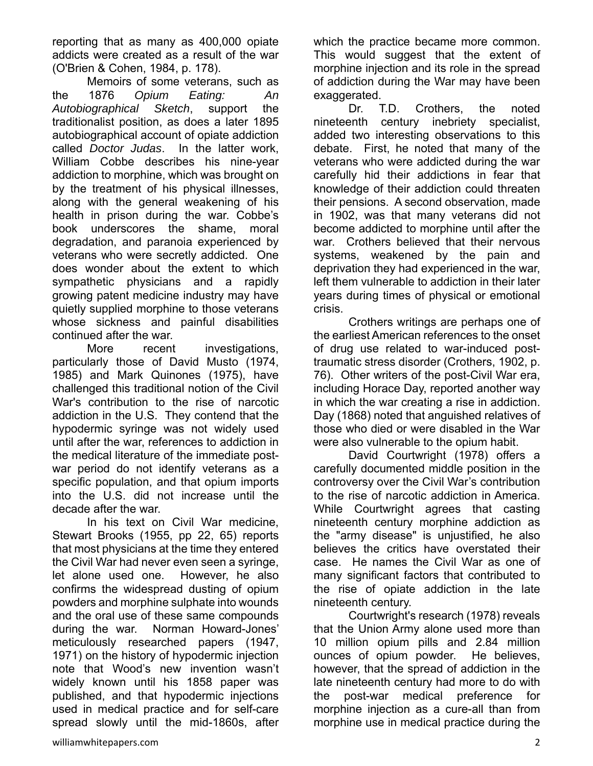reporting that as many as 400,000 opiate addicts were created as a result of the war (O'Brien & Cohen, 1984, p. 178).

Memoirs of some veterans, such as the 1876 *Opium Eating: An Autobiographical Sketch*, support the traditionalist position, as does a later 1895 autobiographical account of opiate addiction called *Doctor Judas*. In the latter work, William Cobbe describes his nine-year addiction to morphine, which was brought on by the treatment of his physical illnesses, along with the general weakening of his health in prison during the war. Cobbe's book underscores the shame, moral degradation, and paranoia experienced by veterans who were secretly addicted. One does wonder about the extent to which sympathetic physicians and a rapidly growing patent medicine industry may have quietly supplied morphine to those veterans whose sickness and painful disabilities continued after the war.

More recent investigations, particularly those of David Musto (1974, 1985) and Mark Quinones (1975), have challenged this traditional notion of the Civil War's contribution to the rise of narcotic addiction in the U.S. They contend that the hypodermic syringe was not widely used until after the war, references to addiction in the medical literature of the immediate postwar period do not identify veterans as a specific population, and that opium imports into the U.S. did not increase until the decade after the war.

In his text on Civil War medicine, Stewart Brooks (1955, pp 22, 65) reports that most physicians at the time they entered the Civil War had never even seen a syringe, let alone used one. However, he also confirms the widespread dusting of opium powders and morphine sulphate into wounds and the oral use of these same compounds during the war. Norman Howard-Jones' meticulously researched papers (1947, 1971) on the history of hypodermic injection note that Wood's new invention wasn't widely known until his 1858 paper was published, and that hypodermic injections used in medical practice and for self-care spread slowly until the mid-1860s, after

which the practice became more common. This would suggest that the extent of morphine injection and its role in the spread of addiction during the War may have been exaggerated.

Dr. T.D. Crothers, the noted nineteenth century inebriety specialist, added two interesting observations to this debate. First, he noted that many of the veterans who were addicted during the war carefully hid their addictions in fear that knowledge of their addiction could threaten their pensions. A second observation, made in 1902, was that many veterans did not become addicted to morphine until after the war. Crothers believed that their nervous systems, weakened by the pain and deprivation they had experienced in the war, left them vulnerable to addiction in their later years during times of physical or emotional crisis.

Crothers writings are perhaps one of the earliest American references to the onset of drug use related to war-induced posttraumatic stress disorder (Crothers, 1902, p. 76). Other writers of the post-Civil War era, including Horace Day, reported another way in which the war creating a rise in addiction. Day (1868) noted that anguished relatives of those who died or were disabled in the War were also vulnerable to the opium habit.

David Courtwright (1978) offers a carefully documented middle position in the controversy over the Civil War's contribution to the rise of narcotic addiction in America. While Courtwright agrees that casting nineteenth century morphine addiction as the "army disease" is unjustified, he also believes the critics have overstated their case. He names the Civil War as one of many significant factors that contributed to the rise of opiate addiction in the late nineteenth century.

Courtwright's research (1978) reveals that the Union Army alone used more than 10 million opium pills and 2.84 million ounces of opium powder. He believes, however, that the spread of addiction in the late nineteenth century had more to do with the post-war medical preference for morphine injection as a cure-all than from morphine use in medical practice during the